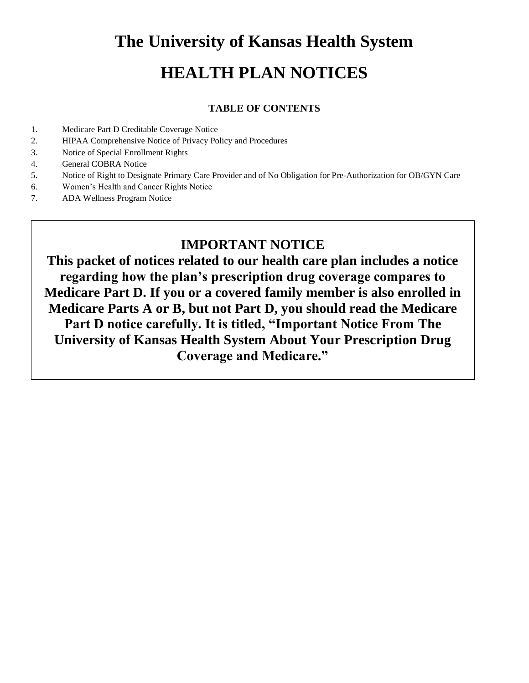# **The University of Kansas Health System HEALTH PLAN NOTICES**

## **TABLE OF CONTENTS**

- 1. Medicare Part D Creditable Coverage Notice
- 2. HIPAA Comprehensive Notice of Privacy Policy and Procedures
- 3. Notice of Special Enrollment Rights
- 4. General COBRA Notice
- 5. Notice of Right to Designate Primary Care Provider and of No Obligation for Pre-Authorization for OB/GYN Care
- 6. Women's Health and Cancer Rights Notice
- 7. ADA Wellness Program Notice

# **IMPORTANT NOTICE**

**This packet of notices related to our health care plan includes a notice regarding how the plan's prescription drug coverage compares to Medicare Part D. If you or a covered family member is also enrolled in Medicare Parts A or B, but not Part D, you should read the Medicare Part D notice carefully. It is titled, "Important Notice From The University of Kansas Health System About Your Prescription Drug Coverage and Medicare."**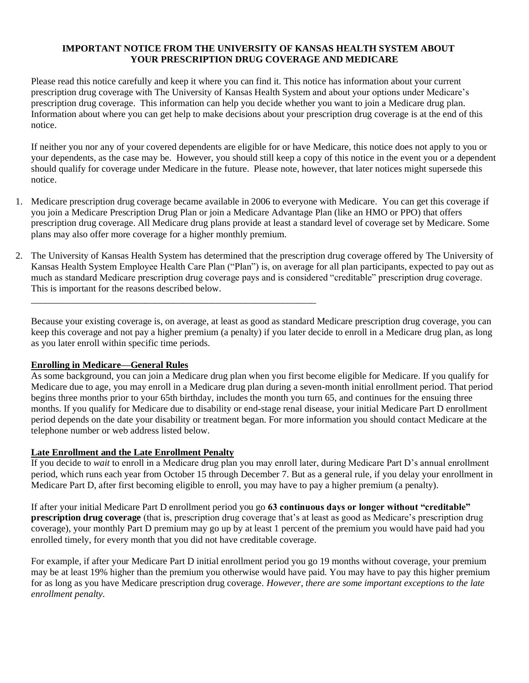#### **IMPORTANT NOTICE FROM THE UNIVERSITY OF KANSAS HEALTH SYSTEM ABOUT YOUR PRESCRIPTION DRUG COVERAGE AND MEDICARE**

Please read this notice carefully and keep it where you can find it. This notice has information about your current prescription drug coverage with The University of Kansas Health System and about your options under Medicare's prescription drug coverage. This information can help you decide whether you want to join a Medicare drug plan. Information about where you can get help to make decisions about your prescription drug coverage is at the end of this notice.

If neither you nor any of your covered dependents are eligible for or have Medicare, this notice does not apply to you or your dependents, as the case may be. However, you should still keep a copy of this notice in the event you or a dependent should qualify for coverage under Medicare in the future. Please note, however, that later notices might supersede this notice.

- 1. Medicare prescription drug coverage became available in 2006 to everyone with Medicare. You can get this coverage if you join a Medicare Prescription Drug Plan or join a Medicare Advantage Plan (like an HMO or PPO) that offers prescription drug coverage. All Medicare drug plans provide at least a standard level of coverage set by Medicare. Some plans may also offer more coverage for a higher monthly premium.
- 2. The University of Kansas Health System has determined that the prescription drug coverage offered by The University of Kansas Health System Employee Health Care Plan ("Plan") is, on average for all plan participants, expected to pay out as much as standard Medicare prescription drug coverage pays and is considered "creditable" prescription drug coverage. This is important for the reasons described below.

Because your existing coverage is, on average, at least as good as standard Medicare prescription drug coverage, you can keep this coverage and not pay a higher premium (a penalty) if you later decide to enroll in a Medicare drug plan, as long as you later enroll within specific time periods.

#### **Enrolling in Medicare—General Rules**

As some background, you can join a Medicare drug plan when you first become eligible for Medicare. If you qualify for Medicare due to age, you may enroll in a Medicare drug plan during a seven-month initial enrollment period. That period begins three months prior to your 65th birthday, includes the month you turn 65, and continues for the ensuing three months. If you qualify for Medicare due to disability or end-stage renal disease, your initial Medicare Part D enrollment period depends on the date your disability or treatment began. For more information you should contact Medicare at the telephone number or web address listed below.

#### **Late Enrollment and the Late Enrollment Penalty**

\_\_\_\_\_\_\_\_\_\_\_\_\_\_\_\_\_\_\_\_\_\_\_\_\_\_\_\_\_\_\_\_\_\_\_\_\_\_\_\_\_\_\_\_\_\_\_\_\_\_\_\_\_\_\_\_\_\_\_\_

If you decide to *wait* to enroll in a Medicare drug plan you may enroll later, during Medicare Part D's annual enrollment period, which runs each year from October 15 through December 7. But as a general rule, if you delay your enrollment in Medicare Part D, after first becoming eligible to enroll, you may have to pay a higher premium (a penalty).

If after your initial Medicare Part D enrollment period you go **63 continuous days or longer without "creditable" prescription drug coverage** (that is, prescription drug coverage that's at least as good as Medicare's prescription drug coverage), your monthly Part D premium may go up by at least 1 percent of the premium you would have paid had you enrolled timely, for every month that you did not have creditable coverage.

For example, if after your Medicare Part D initial enrollment period you go 19 months without coverage, your premium may be at least 19% higher than the premium you otherwise would have paid. You may have to pay this higher premium for as long as you have Medicare prescription drug coverage. *However, there are some important exceptions to the late enrollment penalty.*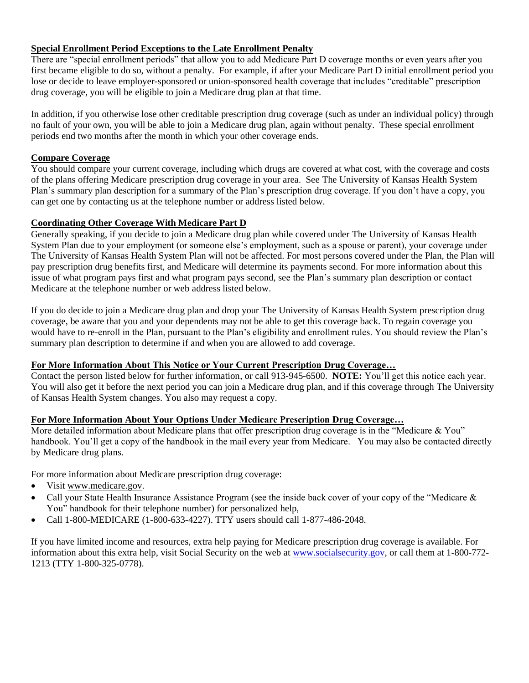#### **Special Enrollment Period Exceptions to the Late Enrollment Penalty**

There are "special enrollment periods" that allow you to add Medicare Part D coverage months or even years after you first became eligible to do so, without a penalty. For example, if after your Medicare Part D initial enrollment period you lose or decide to leave employer-sponsored or union-sponsored health coverage that includes "creditable" prescription drug coverage, you will be eligible to join a Medicare drug plan at that time.

In addition, if you otherwise lose other creditable prescription drug coverage (such as under an individual policy) through no fault of your own, you will be able to join a Medicare drug plan, again without penalty. These special enrollment periods end two months after the month in which your other coverage ends.

## **Compare Coverage**

You should compare your current coverage, including which drugs are covered at what cost, with the coverage and costs of the plans offering Medicare prescription drug coverage in your area. See The University of Kansas Health System Plan's summary plan description for a summary of the Plan's prescription drug coverage. If you don't have a copy, you can get one by contacting us at the telephone number or address listed below.

#### **Coordinating Other Coverage With Medicare Part D**

Generally speaking, if you decide to join a Medicare drug plan while covered under The University of Kansas Health System Plan due to your employment (or someone else's employment, such as a spouse or parent), your coverage under The University of Kansas Health System Plan will not be affected. For most persons covered under the Plan, the Plan will pay prescription drug benefits first, and Medicare will determine its payments second. For more information about this issue of what program pays first and what program pays second, see the Plan's summary plan description or contact Medicare at the telephone number or web address listed below.

If you do decide to join a Medicare drug plan and drop your The University of Kansas Health System prescription drug coverage, be aware that you and your dependents may not be able to get this coverage back. To regain coverage you would have to re-enroll in the Plan, pursuant to the Plan's eligibility and enrollment rules. You should review the Plan's summary plan description to determine if and when you are allowed to add coverage.

#### **For More Information About This Notice or Your Current Prescription Drug Coverage…**

Contact the person listed below for further information, or call 913-945-6500. **NOTE:** You'll get this notice each year. You will also get it before the next period you can join a Medicare drug plan, and if this coverage through The University of Kansas Health System changes. You also may request a copy.

#### **For More Information About Your Options Under Medicare Prescription Drug Coverage…**

More detailed information about Medicare plans that offer prescription drug coverage is in the "Medicare & You" handbook. You'll get a copy of the handbook in the mail every year from Medicare. You may also be contacted directly by Medicare drug plans.

For more information about Medicare prescription drug coverage:

- Visit [www.medicare.gov.](http://www.medicare.gov/)
- Call your State Health Insurance Assistance Program (see the inside back cover of your copy of the "Medicare & You" handbook for their telephone number) for personalized help,
- Call 1-800-MEDICARE (1-800-633-4227). TTY users should call 1-877-486-2048.

If you have limited income and resources, extra help paying for Medicare prescription drug coverage is available. For information about this extra help, visit Social Security on the web a[t www.socialsecurity.gov,](http://www.socialsecurity.gov/) or call them at 1-800-772- 1213 (TTY 1-800-325-0778).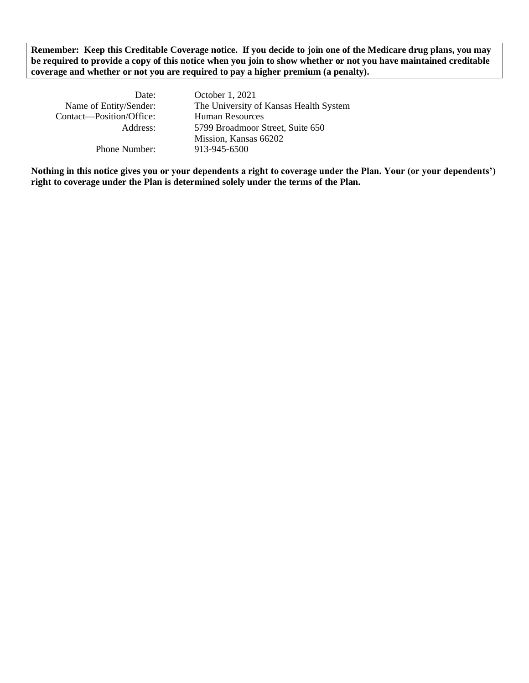**Remember: Keep this Creditable Coverage notice. If you decide to join one of the Medicare drug plans, you may be required to provide a copy of this notice when you join to show whether or not you have maintained creditable coverage and whether or not you are required to pay a higher premium (a penalty).** 

| October 1, 2021                        |
|----------------------------------------|
| The University of Kansas Health System |
| <b>Human Resources</b>                 |
| 5799 Broadmoor Street, Suite 650       |
| Mission, Kansas 66202                  |
| 913-945-6500                           |
|                                        |

**Nothing in this notice gives you or your dependents a right to coverage under the Plan. Your (or your dependents') right to coverage under the Plan is determined solely under the terms of the Plan.**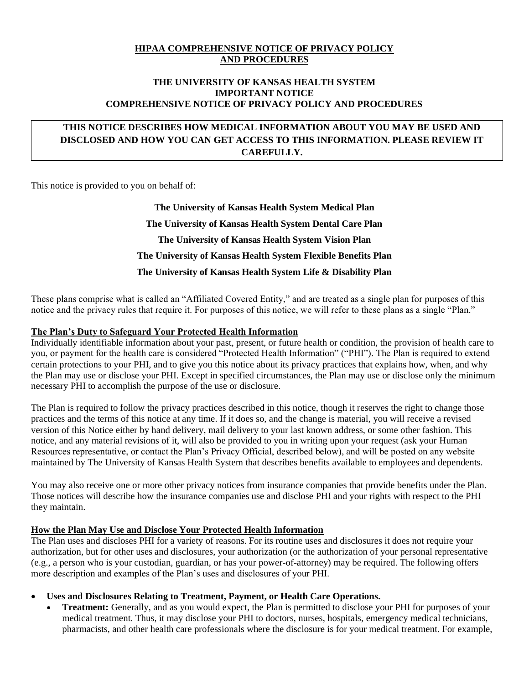#### **HIPAA COMPREHENSIVE NOTICE OF PRIVACY POLICY AND PROCEDURES**

#### **THE UNIVERSITY OF KANSAS HEALTH SYSTEM IMPORTANT NOTICE COMPREHENSIVE NOTICE OF PRIVACY POLICY AND PROCEDURES**

# **THIS NOTICE DESCRIBES HOW MEDICAL INFORMATION ABOUT YOU MAY BE USED AND DISCLOSED AND HOW YOU CAN GET ACCESS TO THIS INFORMATION. PLEASE REVIEW IT CAREFULLY.**

This notice is provided to you on behalf of:

**The University of Kansas Health System Medical Plan The University of Kansas Health System Dental Care Plan The University of Kansas Health System Vision Plan The University of Kansas Health System Flexible Benefits Plan The University of Kansas Health System Life & Disability Plan**

These plans comprise what is called an "Affiliated Covered Entity," and are treated as a single plan for purposes of this notice and the privacy rules that require it. For purposes of this notice, we will refer to these plans as a single "Plan."

#### **The Plan's Duty to Safeguard Your Protected Health Information**

Individually identifiable information about your past, present, or future health or condition, the provision of health care to you, or payment for the health care is considered "Protected Health Information" ("PHI"). The Plan is required to extend certain protections to your PHI, and to give you this notice about its privacy practices that explains how, when, and why the Plan may use or disclose your PHI. Except in specified circumstances, the Plan may use or disclose only the minimum necessary PHI to accomplish the purpose of the use or disclosure.

The Plan is required to follow the privacy practices described in this notice, though it reserves the right to change those practices and the terms of this notice at any time. If it does so, and the change is material, you will receive a revised version of this Notice either by hand delivery, mail delivery to your last known address, or some other fashion. This notice, and any material revisions of it, will also be provided to you in writing upon your request (ask your Human Resources representative, or contact the Plan's Privacy Official, described below), and will be posted on any website maintained by The University of Kansas Health System that describes benefits available to employees and dependents.

You may also receive one or more other privacy notices from insurance companies that provide benefits under the Plan. Those notices will describe how the insurance companies use and disclose PHI and your rights with respect to the PHI they maintain.

#### **How the Plan May Use and Disclose Your Protected Health Information**

The Plan uses and discloses PHI for a variety of reasons. For its routine uses and disclosures it does not require your authorization, but for other uses and disclosures, your authorization (or the authorization of your personal representative (e.g., a person who is your custodian, guardian, or has your power-of-attorney) may be required. The following offers more description and examples of the Plan's uses and disclosures of your PHI.

#### • **Uses and Disclosures Relating to Treatment, Payment, or Health Care Operations.**

**Treatment:** Generally, and as you would expect, the Plan is permitted to disclose your PHI for purposes of your medical treatment. Thus, it may disclose your PHI to doctors, nurses, hospitals, emergency medical technicians, pharmacists, and other health care professionals where the disclosure is for your medical treatment. For example,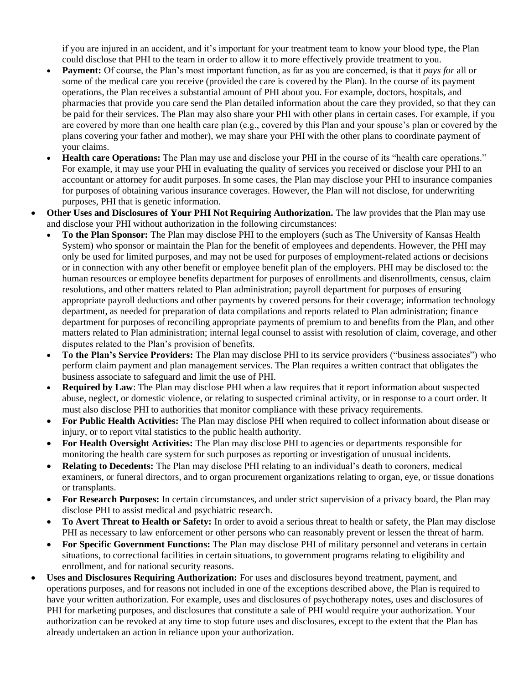if you are injured in an accident, and it's important for your treatment team to know your blood type, the Plan could disclose that PHI to the team in order to allow it to more effectively provide treatment to you.

- **Payment:** Of course, the Plan's most important function, as far as you are concerned, is that it *pays for* all or some of the medical care you receive (provided the care is covered by the Plan). In the course of its payment operations, the Plan receives a substantial amount of PHI about you. For example, doctors, hospitals, and pharmacies that provide you care send the Plan detailed information about the care they provided, so that they can be paid for their services. The Plan may also share your PHI with other plans in certain cases. For example, if you are covered by more than one health care plan (e.g., covered by this Plan and your spouse's plan or covered by the plans covering your father and mother), we may share your PHI with the other plans to coordinate payment of your claims.
- **Health care Operations:** The Plan may use and disclose your PHI in the course of its "health care operations." For example, it may use your PHI in evaluating the quality of services you received or disclose your PHI to an accountant or attorney for audit purposes. In some cases, the Plan may disclose your PHI to insurance companies for purposes of obtaining various insurance coverages. However, the Plan will not disclose, for underwriting purposes, PHI that is genetic information.
- Other Uses and Disclosures of Your PHI Not Requiring Authorization. The law provides that the Plan may use and disclose your PHI without authorization in the following circumstances:
	- **To the Plan Sponsor:** The Plan may disclose PHI to the employers (such as The University of Kansas Health System) who sponsor or maintain the Plan for the benefit of employees and dependents. However, the PHI may only be used for limited purposes, and may not be used for purposes of employment-related actions or decisions or in connection with any other benefit or employee benefit plan of the employers. PHI may be disclosed to: the human resources or employee benefits department for purposes of enrollments and disenrollments, census, claim resolutions, and other matters related to Plan administration; payroll department for purposes of ensuring appropriate payroll deductions and other payments by covered persons for their coverage; information technology department, as needed for preparation of data compilations and reports related to Plan administration; finance department for purposes of reconciling appropriate payments of premium to and benefits from the Plan, and other matters related to Plan administration; internal legal counsel to assist with resolution of claim, coverage, and other disputes related to the Plan's provision of benefits.
	- **To the Plan's Service Providers:** The Plan may disclose PHI to its service providers ("business associates") who perform claim payment and plan management services. The Plan requires a written contract that obligates the business associate to safeguard and limit the use of PHI.
	- **Required by Law**: The Plan may disclose PHI when a law requires that it report information about suspected abuse, neglect, or domestic violence, or relating to suspected criminal activity, or in response to a court order. It must also disclose PHI to authorities that monitor compliance with these privacy requirements.
	- **For Public Health Activities:** The Plan may disclose PHI when required to collect information about disease or injury, or to report vital statistics to the public health authority.
	- **For Health Oversight Activities:** The Plan may disclose PHI to agencies or departments responsible for monitoring the health care system for such purposes as reporting or investigation of unusual incidents.
	- **Relating to Decedents:** The Plan may disclose PHI relating to an individual's death to coroners, medical examiners, or funeral directors, and to organ procurement organizations relating to organ, eye, or tissue donations or transplants.
	- **For Research Purposes:** In certain circumstances, and under strict supervision of a privacy board, the Plan may disclose PHI to assist medical and psychiatric research.
	- **To Avert Threat to Health or Safety:** In order to avoid a serious threat to health or safety, the Plan may disclose PHI as necessary to law enforcement or other persons who can reasonably prevent or lessen the threat of harm.
	- **For Specific Government Functions:** The Plan may disclose PHI of military personnel and veterans in certain situations, to correctional facilities in certain situations, to government programs relating to eligibility and enrollment, and for national security reasons.
- **Uses and Disclosures Requiring Authorization:** For uses and disclosures beyond treatment, payment, and operations purposes, and for reasons not included in one of the exceptions described above, the Plan is required to have your written authorization. For example, uses and disclosures of psychotherapy notes, uses and disclosures of PHI for marketing purposes, and disclosures that constitute a sale of PHI would require your authorization. Your authorization can be revoked at any time to stop future uses and disclosures, except to the extent that the Plan has already undertaken an action in reliance upon your authorization.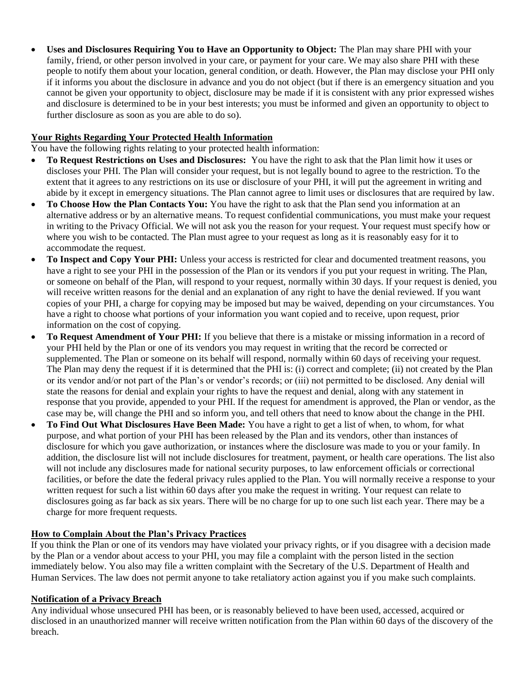• **Uses and Disclosures Requiring You to Have an Opportunity to Object:** The Plan may share PHI with your family, friend, or other person involved in your care, or payment for your care. We may also share PHI with these people to notify them about your location, general condition, or death. However, the Plan may disclose your PHI only if it informs you about the disclosure in advance and you do not object (but if there is an emergency situation and you cannot be given your opportunity to object, disclosure may be made if it is consistent with any prior expressed wishes and disclosure is determined to be in your best interests; you must be informed and given an opportunity to object to further disclosure as soon as you are able to do so).

#### **Your Rights Regarding Your Protected Health Information**

You have the following rights relating to your protected health information:

- **To Request Restrictions on Uses and Disclosures:** You have the right to ask that the Plan limit how it uses or discloses your PHI. The Plan will consider your request, but is not legally bound to agree to the restriction. To the extent that it agrees to any restrictions on its use or disclosure of your PHI, it will put the agreement in writing and abide by it except in emergency situations. The Plan cannot agree to limit uses or disclosures that are required by law.
- **To Choose How the Plan Contacts You:** You have the right to ask that the Plan send you information at an alternative address or by an alternative means. To request confidential communications, you must make your request in writing to the Privacy Official. We will not ask you the reason for your request. Your request must specify how or where you wish to be contacted. The Plan must agree to your request as long as it is reasonably easy for it to accommodate the request.
- **To Inspect and Copy Your PHI:** Unless your access is restricted for clear and documented treatment reasons, you have a right to see your PHI in the possession of the Plan or its vendors if you put your request in writing. The Plan, or someone on behalf of the Plan, will respond to your request, normally within 30 days. If your request is denied, you will receive written reasons for the denial and an explanation of any right to have the denial reviewed. If you want copies of your PHI, a charge for copying may be imposed but may be waived, depending on your circumstances. You have a right to choose what portions of your information you want copied and to receive, upon request, prior information on the cost of copying.
- **To Request Amendment of Your PHI:** If you believe that there is a mistake or missing information in a record of your PHI held by the Plan or one of its vendors you may request in writing that the record be corrected or supplemented. The Plan or someone on its behalf will respond, normally within 60 days of receiving your request. The Plan may deny the request if it is determined that the PHI is: (i) correct and complete; (ii) not created by the Plan or its vendor and/or not part of the Plan's or vendor's records; or (iii) not permitted to be disclosed. Any denial will state the reasons for denial and explain your rights to have the request and denial, along with any statement in response that you provide, appended to your PHI. If the request for amendment is approved, the Plan or vendor, as the case may be, will change the PHI and so inform you, and tell others that need to know about the change in the PHI.
- **To Find Out What Disclosures Have Been Made:** You have a right to get a list of when, to whom, for what purpose, and what portion of your PHI has been released by the Plan and its vendors, other than instances of disclosure for which you gave authorization, or instances where the disclosure was made to you or your family. In addition, the disclosure list will not include disclosures for treatment, payment, or health care operations. The list also will not include any disclosures made for national security purposes, to law enforcement officials or correctional facilities, or before the date the federal privacy rules applied to the Plan. You will normally receive a response to your written request for such a list within 60 days after you make the request in writing. Your request can relate to disclosures going as far back as six years. There will be no charge for up to one such list each year. There may be a charge for more frequent requests.

#### **How to Complain About the Plan's Privacy Practices**

If you think the Plan or one of its vendors may have violated your privacy rights, or if you disagree with a decision made by the Plan or a vendor about access to your PHI, you may file a complaint with the person listed in the section immediately below. You also may file a written complaint with the Secretary of the U.S. Department of Health and Human Services. The law does not permit anyone to take retaliatory action against you if you make such complaints.

#### **Notification of a Privacy Breach**

Any individual whose unsecured PHI has been, or is reasonably believed to have been used, accessed, acquired or disclosed in an unauthorized manner will receive written notification from the Plan within 60 days of the discovery of the breach.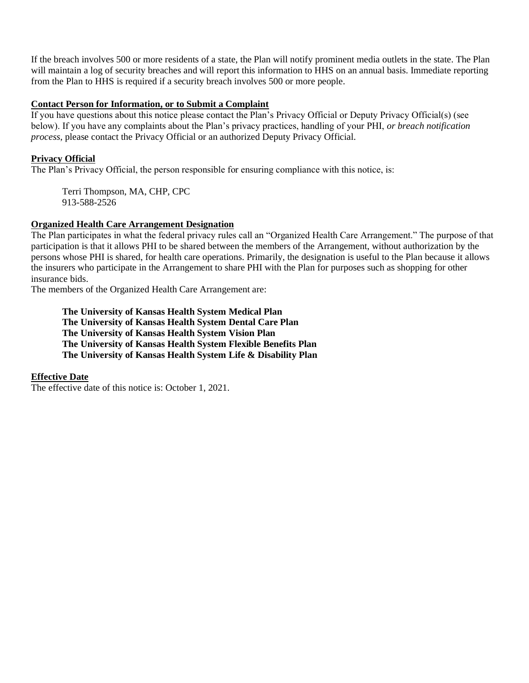If the breach involves 500 or more residents of a state, the Plan will notify prominent media outlets in the state. The Plan will maintain a log of security breaches and will report this information to HHS on an annual basis. Immediate reporting from the Plan to HHS is required if a security breach involves 500 or more people.

#### **Contact Person for Information, or to Submit a Complaint**

If you have questions about this notice please contact the Plan's Privacy Official or Deputy Privacy Official(s) (see below). If you have any complaints about the Plan's privacy practices, handling of your PHI, *or breach notification process*, please contact the Privacy Official or an authorized Deputy Privacy Official.

#### **Privacy Official**

The Plan's Privacy Official, the person responsible for ensuring compliance with this notice, is:

Terri Thompson, MA, CHP, CPC 913-588-2526

#### **Organized Health Care Arrangement Designation**

The Plan participates in what the federal privacy rules call an "Organized Health Care Arrangement." The purpose of that participation is that it allows PHI to be shared between the members of the Arrangement, without authorization by the persons whose PHI is shared, for health care operations. Primarily, the designation is useful to the Plan because it allows the insurers who participate in the Arrangement to share PHI with the Plan for purposes such as shopping for other insurance bids.

The members of the Organized Health Care Arrangement are:

**The University of Kansas Health System Medical Plan The University of Kansas Health System Dental Care Plan The University of Kansas Health System Vision Plan The University of Kansas Health System Flexible Benefits Plan The University of Kansas Health System Life & Disability Plan**

#### **Effective Date**

The effective date of this notice is: October 1, 2021.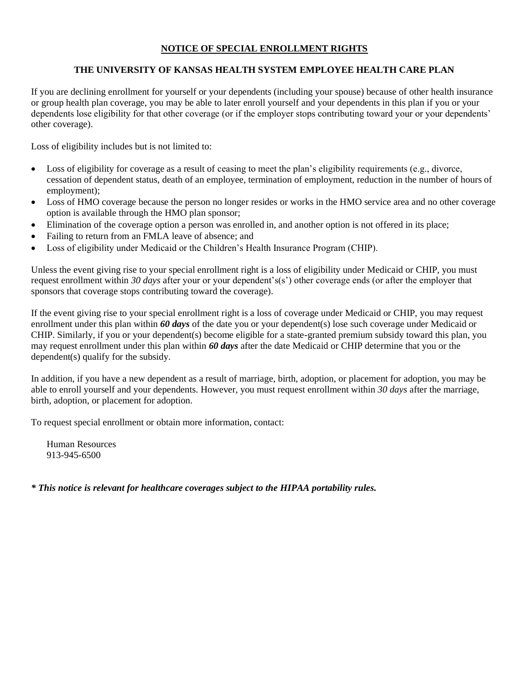#### **NOTICE OF SPECIAL ENROLLMENT RIGHTS**

#### **THE UNIVERSITY OF KANSAS HEALTH SYSTEM EMPLOYEE HEALTH CARE PLAN**

If you are declining enrollment for yourself or your dependents (including your spouse) because of other health insurance or group health plan coverage, you may be able to later enroll yourself and your dependents in this plan if you or your dependents lose eligibility for that other coverage (or if the employer stops contributing toward your or your dependents' other coverage).

Loss of eligibility includes but is not limited to:

- Loss of eligibility for coverage as a result of ceasing to meet the plan's eligibility requirements (e.g., divorce, cessation of dependent status, death of an employee, termination of employment, reduction in the number of hours of employment);
- Loss of HMO coverage because the person no longer resides or works in the HMO service area and no other coverage option is available through the HMO plan sponsor;
- Elimination of the coverage option a person was enrolled in, and another option is not offered in its place;
- Failing to return from an FMLA leave of absence; and
- Loss of eligibility under Medicaid or the Children's Health Insurance Program (CHIP).

Unless the event giving rise to your special enrollment right is a loss of eligibility under Medicaid or CHIP, you must request enrollment within *30 days* after your or your dependent's(s') other coverage ends (or after the employer that sponsors that coverage stops contributing toward the coverage).

If the event giving rise to your special enrollment right is a loss of coverage under Medicaid or CHIP, you may request enrollment under this plan within *60 days* of the date you or your dependent(s) lose such coverage under Medicaid or CHIP. Similarly, if you or your dependent(s) become eligible for a state-granted premium subsidy toward this plan, you may request enrollment under this plan within *60 days* after the date Medicaid or CHIP determine that you or the dependent(s) qualify for the subsidy.

In addition, if you have a new dependent as a result of marriage, birth, adoption, or placement for adoption, you may be able to enroll yourself and your dependents. However, you must request enrollment within *30 days* after the marriage, birth, adoption, or placement for adoption.

To request special enrollment or obtain more information, contact:

Human Resources 913-945-6500

*\* This notice is relevant for healthcare coverages subject to the HIPAA portability rules.*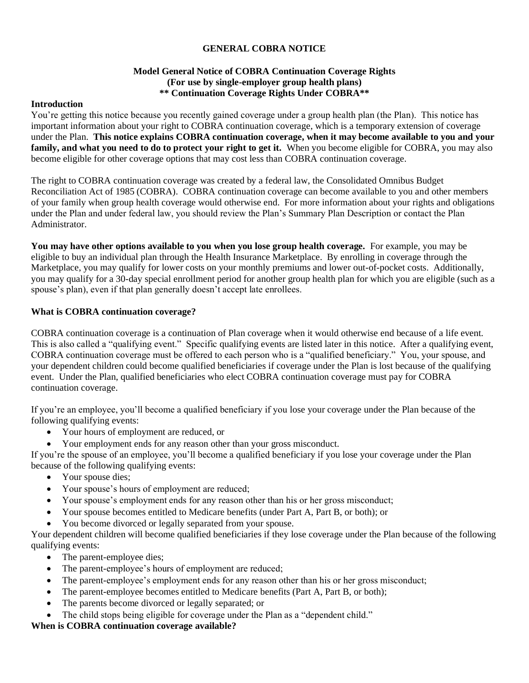#### **GENERAL COBRA NOTICE**

#### **Model General Notice of COBRA Continuation Coverage Rights (For use by single-employer group health plans) \*\* Continuation Coverage Rights Under COBRA\*\***

#### **Introduction**

You're getting this notice because you recently gained coverage under a group health plan (the Plan). This notice has important information about your right to COBRA continuation coverage, which is a temporary extension of coverage under the Plan. **This notice explains COBRA continuation coverage, when it may become available to you and your family, and what you need to do to protect your right to get it.** When you become eligible for COBRA, you may also become eligible for other coverage options that may cost less than COBRA continuation coverage.

The right to COBRA continuation coverage was created by a federal law, the Consolidated Omnibus Budget Reconciliation Act of 1985 (COBRA). COBRA continuation coverage can become available to you and other members of your family when group health coverage would otherwise end. For more information about your rights and obligations under the Plan and under federal law, you should review the Plan's Summary Plan Description or contact the Plan Administrator.

**You may have other options available to you when you lose group health coverage.** For example, you may be eligible to buy an individual plan through the Health Insurance Marketplace. By enrolling in coverage through the Marketplace, you may qualify for lower costs on your monthly premiums and lower out-of-pocket costs. Additionally, you may qualify for a 30-day special enrollment period for another group health plan for which you are eligible (such as a spouse's plan), even if that plan generally doesn't accept late enrollees.

#### **What is COBRA continuation coverage?**

COBRA continuation coverage is a continuation of Plan coverage when it would otherwise end because of a life event. This is also called a "qualifying event." Specific qualifying events are listed later in this notice. After a qualifying event, COBRA continuation coverage must be offered to each person who is a "qualified beneficiary." You, your spouse, and your dependent children could become qualified beneficiaries if coverage under the Plan is lost because of the qualifying event. Under the Plan, qualified beneficiaries who elect COBRA continuation coverage must pay for COBRA continuation coverage.

If you're an employee, you'll become a qualified beneficiary if you lose your coverage under the Plan because of the following qualifying events:

- Your hours of employment are reduced, or
- Your employment ends for any reason other than your gross misconduct.

If you're the spouse of an employee, you'll become a qualified beneficiary if you lose your coverage under the Plan because of the following qualifying events:

- Your spouse dies;
- Your spouse's hours of employment are reduced;
- Your spouse's employment ends for any reason other than his or her gross misconduct;
- Your spouse becomes entitled to Medicare benefits (under Part A, Part B, or both); or
- You become divorced or legally separated from your spouse.

Your dependent children will become qualified beneficiaries if they lose coverage under the Plan because of the following qualifying events:

- The parent-employee dies;
- The parent-employee's hours of employment are reduced;
- The parent-employee's employment ends for any reason other than his or her gross misconduct;
- The parent-employee becomes entitled to Medicare benefits (Part A, Part B, or both);
- The parents become divorced or legally separated; or
- The child stops being eligible for coverage under the Plan as a "dependent child."

# **When is COBRA continuation coverage available?**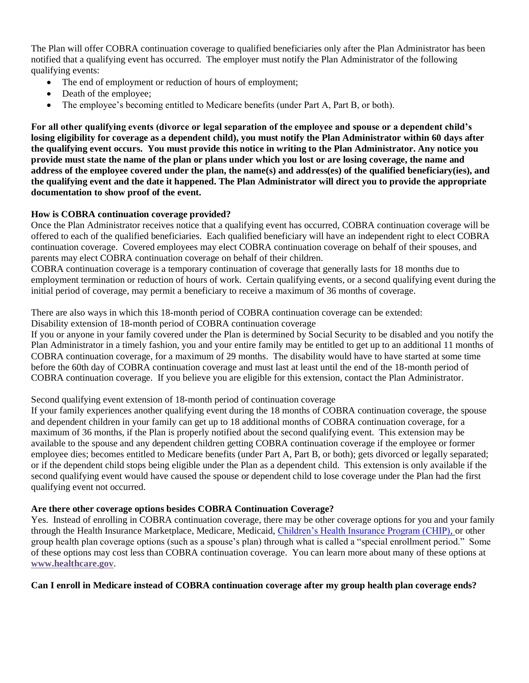The Plan will offer COBRA continuation coverage to qualified beneficiaries only after the Plan Administrator has been notified that a qualifying event has occurred. The employer must notify the Plan Administrator of the following qualifying events:

- The end of employment or reduction of hours of employment;
- Death of the employee;
- The employee's becoming entitled to Medicare benefits (under Part A, Part B, or both).

**For all other qualifying events (divorce or legal separation of the employee and spouse or a dependent child's losing eligibility for coverage as a dependent child), you must notify the Plan Administrator within 60 days after the qualifying event occurs. You must provide this notice in writing to the Plan Administrator. Any notice you provide must state the name of the plan or plans under which you lost or are losing coverage, the name and address of the employee covered under the plan, the name(s) and address(es) of the qualified beneficiary(ies), and the qualifying event and the date it happened. The Plan Administrator will direct you to provide the appropriate documentation to show proof of the event.**

#### **How is COBRA continuation coverage provided?**

Once the Plan Administrator receives notice that a qualifying event has occurred, COBRA continuation coverage will be offered to each of the qualified beneficiaries. Each qualified beneficiary will have an independent right to elect COBRA continuation coverage. Covered employees may elect COBRA continuation coverage on behalf of their spouses, and parents may elect COBRA continuation coverage on behalf of their children.

COBRA continuation coverage is a temporary continuation of coverage that generally lasts for 18 months due to employment termination or reduction of hours of work. Certain qualifying events, or a second qualifying event during the initial period of coverage, may permit a beneficiary to receive a maximum of 36 months of coverage.

There are also ways in which this 18-month period of COBRA continuation coverage can be extended:

Disability extension of 18-month period of COBRA continuation coverage

If you or anyone in your family covered under the Plan is determined by Social Security to be disabled and you notify the Plan Administrator in a timely fashion, you and your entire family may be entitled to get up to an additional 11 months of COBRA continuation coverage, for a maximum of 29 months. The disability would have to have started at some time before the 60th day of COBRA continuation coverage and must last at least until the end of the 18-month period of COBRA continuation coverage. If you believe you are eligible for this extension, contact the Plan Administrator.

#### Second qualifying event extension of 18-month period of continuation coverage

If your family experiences another qualifying event during the 18 months of COBRA continuation coverage, the spouse and dependent children in your family can get up to 18 additional months of COBRA continuation coverage, for a maximum of 36 months, if the Plan is properly notified about the second qualifying event. This extension may be available to the spouse and any dependent children getting COBRA continuation coverage if the employee or former employee dies; becomes entitled to Medicare benefits (under Part A, Part B, or both); gets divorced or legally separated; or if the dependent child stops being eligible under the Plan as a dependent child. This extension is only available if the second qualifying event would have caused the spouse or dependent child to lose coverage under the Plan had the first qualifying event not occurred.

#### **Are there other coverage options besides COBRA Continuation Coverage?**

Yes. Instead of enrolling in COBRA continuation coverage, there may be other coverage options for you and your family through the Health Insurance Marketplace, Medicare, Medicaid, [Children's Health Insurance Program \(CHIP\),](https://www.healthcare.gov/are-my-children-eligible-for-chip) or other group health plan coverage options (such as a spouse's plan) through what is called a "special enrollment period." Some of these options may cost less than COBRA continuation coverage. You can learn more about many of these options at **[www.healthcare.gov](https://www.dol.gov/ebsa/www.healthcare.gov)**.

**Can I enroll in Medicare instead of COBRA continuation coverage after my group health plan coverage ends?**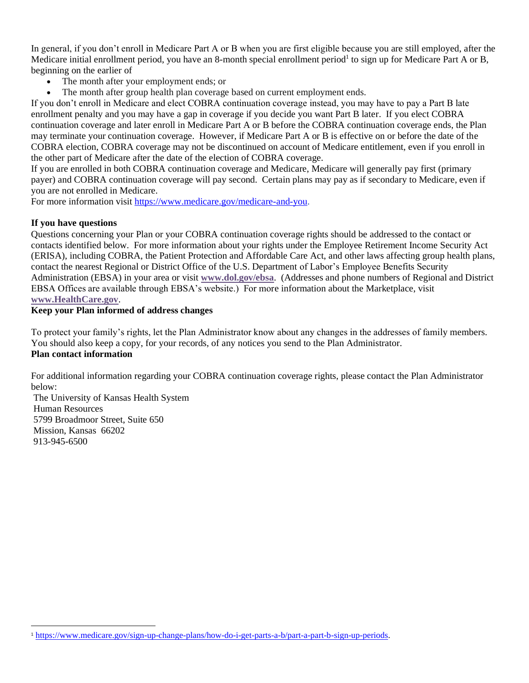In general, if you don't enroll in Medicare Part A or B when you are first eligible because you are still employed, after the Medicare initial enrollment period, you have an 8-month special enrollment period<sup>1</sup> to sign up for Medicare Part A or B, beginning on the earlier of

- The month after your employment ends; or
- The month after group health plan coverage based on current employment ends.

If you don't enroll in Medicare and elect COBRA continuation coverage instead, you may have to pay a Part B late enrollment penalty and you may have a gap in coverage if you decide you want Part B later. If you elect COBRA continuation coverage and later enroll in Medicare Part A or B before the COBRA continuation coverage ends, the Plan may terminate your continuation coverage. However, if Medicare Part A or B is effective on or before the date of the COBRA election, COBRA coverage may not be discontinued on account of Medicare entitlement, even if you enroll in the other part of Medicare after the date of the election of COBRA coverage.

If you are enrolled in both COBRA continuation coverage and Medicare, Medicare will generally pay first (primary payer) and COBRA continuation coverage will pay second. Certain plans may pay as if secondary to Medicare, even if you are not enrolled in Medicare.

For more information visit [https://www.medicare.gov/medicare-and-you.](https://www.medicare.gov/medicare-and-you)

#### **If you have questions**

Questions concerning your Plan or your COBRA continuation coverage rights should be addressed to the contact or contacts identified below. For more information about your rights under the Employee Retirement Income Security Act (ERISA), including COBRA, the Patient Protection and Affordable Care Act, and other laws affecting group health plans, contact the nearest Regional or District Office of the U.S. Department of Labor's Employee Benefits Security Administration (EBSA) in your area or visit **[www.dol.gov/ebsa](http://www.dol.gov/ebsa)**. (Addresses and phone numbers of Regional and District EBSA Offices are available through EBSA's website.) For more information about the Marketplace, visit **[www.HealthCare.gov](http://www.healthcare.gov/)**.

#### **Keep your Plan informed of address changes**

To protect your family's rights, let the Plan Administrator know about any changes in the addresses of family members. You should also keep a copy, for your records, of any notices you send to the Plan Administrator. **Plan contact information**

For additional information regarding your COBRA continuation coverage rights, please contact the Plan Administrator below:

The University of Kansas Health System Human Resources 5799 Broadmoor Street, Suite 650 Mission, Kansas 66202 913-945-6500

<sup>1</sup> [https://www.medicare.gov/sign-up-change-plans/how-do-i-get-parts-a-b/part-a-part-b-sign-up-periods.](https://www.medicare.gov/sign-up-change-plans/how-do-i-get-parts-a-b/part-a-part-b-sign-up-periods)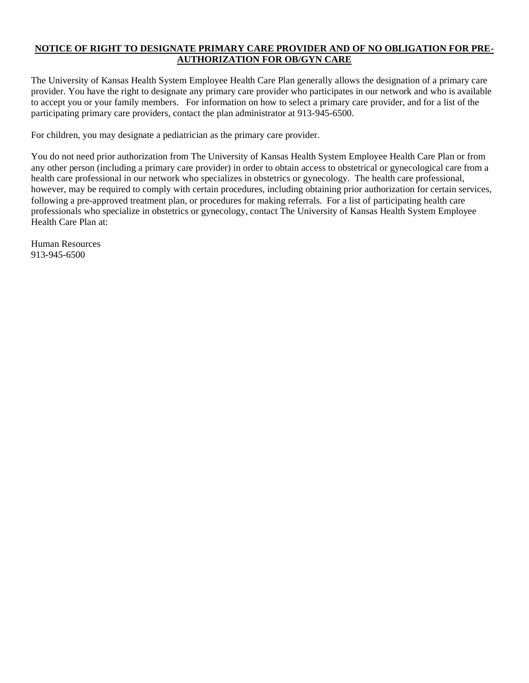#### **NOTICE OF RIGHT TO DESIGNATE PRIMARY CARE PROVIDER AND OF NO OBLIGATION FOR PRE-AUTHORIZATION FOR OB/GYN CARE**

The University of Kansas Health System Employee Health Care Plan generally allows the designation of a primary care provider. You have the right to designate any primary care provider who participates in our network and who is available to accept you or your family members. For information on how to select a primary care provider, and for a list of the participating primary care providers, contact the plan administrator at 913-945-6500.

For children, you may designate a pediatrician as the primary care provider.

You do not need prior authorization from The University of Kansas Health System Employee Health Care Plan or from any other person (including a primary care provider) in order to obtain access to obstetrical or gynecological care from a health care professional in our network who specializes in obstetrics or gynecology. The health care professional, however, may be required to comply with certain procedures, including obtaining prior authorization for certain services, following a pre-approved treatment plan, or procedures for making referrals. For a list of participating health care professionals who specialize in obstetrics or gynecology, contact The University of Kansas Health System Employee Health Care Plan at:

Human Resources 913-945-6500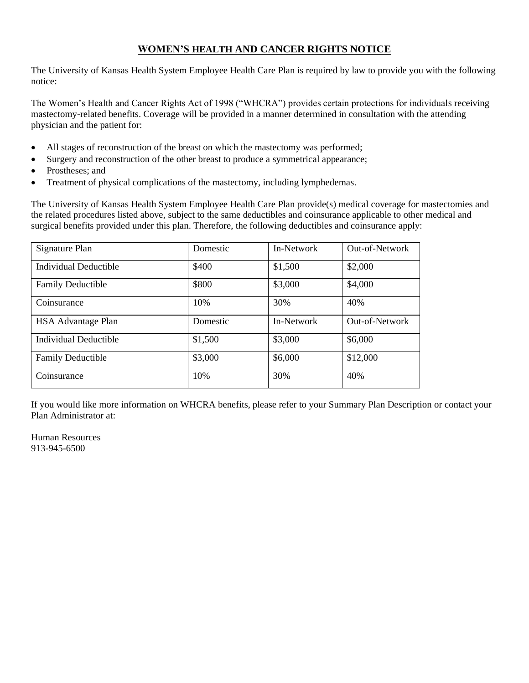# **WOMEN'S HEALTH AND CANCER RIGHTS NOTICE**

The University of Kansas Health System Employee Health Care Plan is required by law to provide you with the following notice:

The Women's Health and Cancer Rights Act of 1998 ("WHCRA") provides certain protections for individuals receiving mastectomy-related benefits. Coverage will be provided in a manner determined in consultation with the attending physician and the patient for:

- All stages of reconstruction of the breast on which the mastectomy was performed;
- Surgery and reconstruction of the other breast to produce a symmetrical appearance;
- Prostheses: and
- Treatment of physical complications of the mastectomy, including lymphedemas.

The University of Kansas Health System Employee Health Care Plan provide(s) medical coverage for mastectomies and the related procedures listed above, subject to the same deductibles and coinsurance applicable to other medical and surgical benefits provided under this plan. Therefore, the following deductibles and coinsurance apply:

| Signature Plan            | Domestic | In-Network | Out-of-Network |
|---------------------------|----------|------------|----------------|
| Individual Deductible     | \$400    | \$1,500    | \$2,000        |
| <b>Family Deductible</b>  | \$800    | \$3,000    | \$4,000        |
| Coinsurance               | 10%      | 30%        | 40%            |
| <b>HSA</b> Advantage Plan | Domestic | In-Network | Out-of-Network |
| Individual Deductible     | \$1,500  | \$3,000    | \$6,000        |
| <b>Family Deductible</b>  | \$3,000  | \$6,000    | \$12,000       |
| Coinsurance               | 10%      | 30%        | 40%            |

If you would like more information on WHCRA benefits, please refer to your Summary Plan Description or contact your Plan Administrator at:

Human Resources 913-945-6500